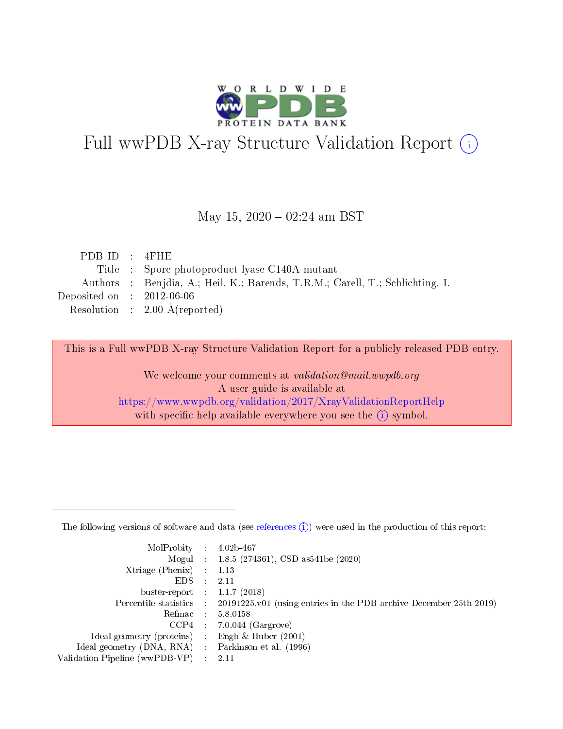

# Full wwPDB X-ray Structure Validation Report (i)

### May  $15, 2020 - 02:24$  am BST

| PDBID : 4FHE                                                                  |
|-------------------------------------------------------------------------------|
| Title : Spore photoproduct lyase C140A mutant                                 |
| Authors : Benjdia, A.; Heil, K.; Barends, T.R.M.; Carell, T.; Schlichting, I. |
| Deposited on : $2012-06-06$                                                   |
| Resolution : $2.00 \text{ Å}$ (reported)                                      |
|                                                                               |

This is a Full wwPDB X-ray Structure Validation Report for a publicly released PDB entry.

We welcome your comments at validation@mail.wwpdb.org A user guide is available at <https://www.wwpdb.org/validation/2017/XrayValidationReportHelp> with specific help available everywhere you see the  $(i)$  symbol.

The following versions of software and data (see [references](https://www.wwpdb.org/validation/2017/XrayValidationReportHelp#references)  $(1)$ ) were used in the production of this report:

| $MolProbability$ 4.02b-467                          |                                                                                            |
|-----------------------------------------------------|--------------------------------------------------------------------------------------------|
|                                                     | Mogul : 1.8.5 (274361), CSD as 541 be (2020)                                               |
| $Xtriangle (Phenix)$ : 1.13                         |                                                                                            |
| $EDS$ :                                             | -2.11                                                                                      |
| buster-report : $1.1.7$ (2018)                      |                                                                                            |
|                                                     | Percentile statistics : 20191225.v01 (using entries in the PDB archive December 25th 2019) |
| Refmac $5.8.0158$                                   |                                                                                            |
|                                                     | $CCP4$ 7.0.044 (Gargrove)                                                                  |
| Ideal geometry (proteins) :                         | Engh $\&$ Huber (2001)                                                                     |
| Ideal geometry (DNA, RNA) : Parkinson et al. (1996) |                                                                                            |
| Validation Pipeline (wwPDB-VP) : 2.11               |                                                                                            |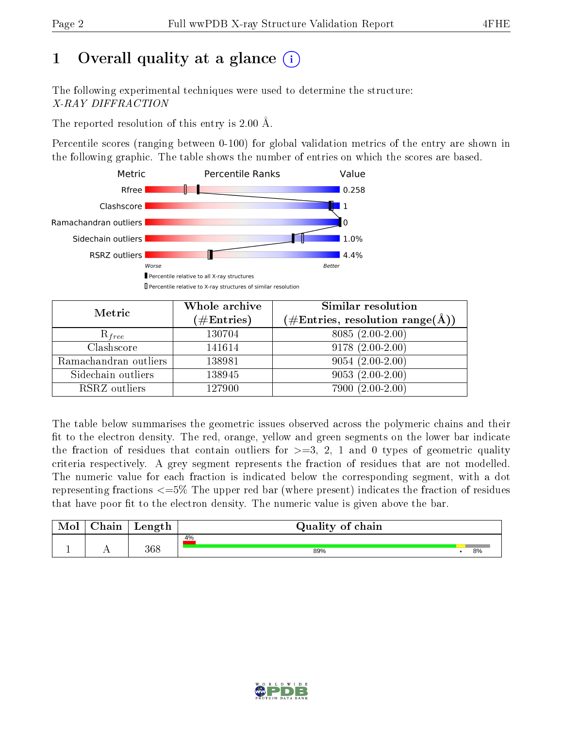# 1 [O](https://www.wwpdb.org/validation/2017/XrayValidationReportHelp#overall_quality)verall quality at a glance  $(i)$

The following experimental techniques were used to determine the structure: X-RAY DIFFRACTION

The reported resolution of this entry is 2.00 Å.

Percentile scores (ranging between 0-100) for global validation metrics of the entry are shown in the following graphic. The table shows the number of entries on which the scores are based.



| Metric                | Whole archive<br>$(\#\mathrm{Entries})$ | Similar resolution<br>$(\#\text{Entries},\,\text{resolution}\,\,\text{range}(\textup{\AA}))$ |
|-----------------------|-----------------------------------------|----------------------------------------------------------------------------------------------|
| $R_{free}$            | 130704                                  | $8085(2.00-2.00)$                                                                            |
| Clashscore            | 141614                                  | $9178(2.00-2.00)$                                                                            |
| Ramachandran outliers | 138981                                  | $9054(2.00-2.00)$                                                                            |
| Sidechain outliers    | 138945                                  | $9053(2.00-2.00)$                                                                            |
| RSRZ outliers         | 127900                                  | $7900(2.00-2.00)$                                                                            |

The table below summarises the geometric issues observed across the polymeric chains and their fit to the electron density. The red, orange, yellow and green segments on the lower bar indicate the fraction of residues that contain outliers for  $>=3, 2, 1$  and 0 types of geometric quality criteria respectively. A grey segment represents the fraction of residues that are not modelled. The numeric value for each fraction is indicated below the corresponding segment, with a dot representing fractions  $\epsilon=5\%$  The upper red bar (where present) indicates the fraction of residues that have poor fit to the electron density. The numeric value is given above the bar.

| Mol | $\cap$ hain | Length | Quality of chain |    |
|-----|-------------|--------|------------------|----|
|     |             |        | 4%               |    |
|     |             | 368    | 89%              | 8% |

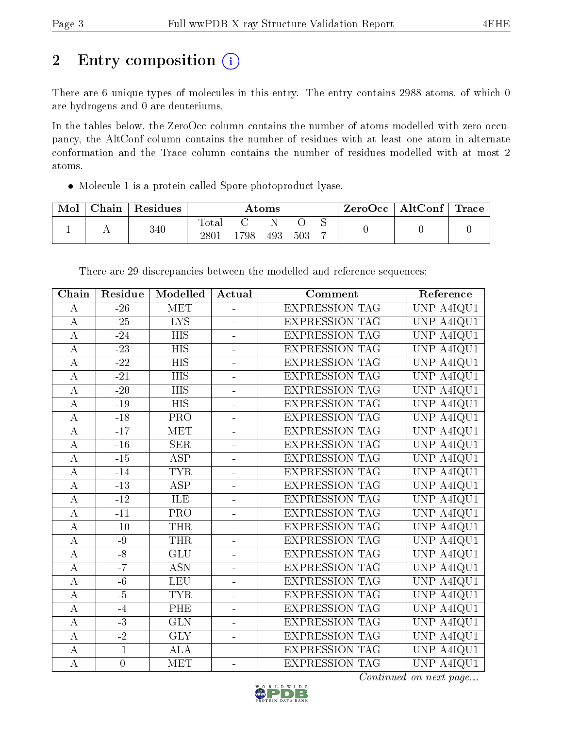# 2 Entry composition (i)

There are 6 unique types of molecules in this entry. The entry contains 2988 atoms, of which 0 are hydrogens and 0 are deuteriums.

In the tables below, the ZeroOcc column contains the number of atoms modelled with zero occupancy, the AltConf column contains the number of residues with at least one atom in alternate conformation and the Trace column contains the number of residues modelled with at most 2 atoms.

Molecule 1 is a protein called Spore photoproduct lyase.

| Mol | Chain | Residues | Atoms                    |      |     |     | $ZeroOcc \   \ AltConf \  $ | Trace |  |
|-----|-------|----------|--------------------------|------|-----|-----|-----------------------------|-------|--|
|     |       | 340      | <b>Total</b><br>$2801\,$ | .798 | 493 | 503 |                             |       |  |

There are 29 discrepancies between the modelled and reference sequences:

| Chain            | Residue          | Modelled                | Actual                   | Comment               | Reference                      |
|------------------|------------------|-------------------------|--------------------------|-----------------------|--------------------------------|
| $\bf{A}$         | $-26$            | <b>MET</b>              | $\overline{a}$           | <b>EXPRESSION TAG</b> | UNP A4IQU1                     |
| $\bf{A}$         | $-25$            | $\overline{LYS}$        |                          | <b>EXPRESSION TAG</b> | UNP A4IQU1                     |
| $\bf{A}$         | $-24$            | <b>HIS</b>              | $\overline{a}$           | <b>EXPRESSION TAG</b> | UNP A4IQU1                     |
| $\boldsymbol{A}$ | $-23$            | <b>HIS</b>              | $\overline{a}$           | <b>EXPRESSION TAG</b> | UNP A4IQU1                     |
| $\bf{A}$         | $\overline{-22}$ | $\overline{HIS}$        |                          | <b>EXPRESSION TAG</b> | UNP A4IQU1                     |
| $\bf{A}$         | $-21$            | <b>HIS</b>              | $\overline{\phantom{0}}$ | <b>EXPRESSION TAG</b> | UNP A4IQU1                     |
| $\bf{A}$         | $-20$            | <b>HIS</b>              | ÷                        | <b>EXPRESSION TAG</b> | UNP A4IQU1                     |
| $\bf{A}$         | $-19$            | <b>HIS</b>              |                          | <b>EXPRESSION TAG</b> | UNP A4IQU1                     |
| $\bf{A}$         | $-18$            | PRO                     | ÷                        | <b>EXPRESSION TAG</b> | UNP A4IQU1                     |
| $\overline{A}$   | $-17$            | <b>MET</b>              | $\overline{a}$           | <b>EXPRESSION TAG</b> | $\overline{\text{UNP A4IQU1}}$ |
| $\bf{A}$         | $-16$            | <b>SER</b>              | $\equiv$                 | <b>EXPRESSION TAG</b> | UNP A4IQU1                     |
| $\bf{A}$         | $-15$            | <b>ASP</b>              | $\overline{a}$           | <b>EXPRESSION TAG</b> | UNP A4IQU1                     |
| $\bf{A}$         | $-14$            | <b>TYR</b>              | ÷                        | <b>EXPRESSION TAG</b> | UNP A4IQU1                     |
| $\bf{A}$         | $-13$            | <b>ASP</b>              | $\overline{a}$           | <b>EXPRESSION TAG</b> | UNP A4IQU1                     |
| $\bf{A}$         | $-12$            | ILE                     | $\overline{\phantom{0}}$ | <b>EXPRESSION TAG</b> | UNP A4IQU1                     |
| $\bf{A}$         | $-11$            | $\overline{\text{PRO}}$ |                          | <b>EXPRESSION TAG</b> | UNP A4IQU1                     |
| $\overline{A}$   | $-10$            | <b>THR</b>              |                          | <b>EXPRESSION TAG</b> | UNP A4IQU1                     |
| $\boldsymbol{A}$ | $-9$             | <b>THR</b>              | $\overline{a}$           | EXPRESSION TAG        | UNP A4IQU1                     |
| $\bf{A}$         | $-8$             | $\overline{GLU}$        |                          | <b>EXPRESSION TAG</b> | UNP A4IQU1                     |
| $\bf{A}$         | $-7$             | <b>ASN</b>              | $\overline{\phantom{0}}$ | <b>EXPRESSION TAG</b> | UNP A4IQU1                     |
| $\bf{A}$         | $-6$             | <b>LEU</b>              | ÷                        | <b>EXPRESSION TAG</b> | UNP A4IQU1                     |
| $\bf{A}$         | $-5$             | <b>TYR</b>              | $\overline{a}$           | <b>EXPRESSION TAG</b> | UNP A4IQU1                     |
| $\bf{A}$         | $-4$             | PHE                     | $\blacksquare$           | <b>EXPRESSION TAG</b> | UNP A4IQU1                     |
| $\bf{A}$         | $-3$             | $\overline{\text{GLN}}$ |                          | <b>EXPRESSION TAG</b> | UNP A4IQU1                     |
| $\bf{A}$         | $-2$             | <b>GLY</b>              | $\overline{a}$           | <b>EXPRESSION TAG</b> | UNP A4IQU1                     |
| $\bf{A}$         | $-1$             | <b>ALA</b>              | $\overline{a}$           | <b>EXPRESSION TAG</b> | UNP A4IQU1                     |
| $\overline{A}$   | $\boldsymbol{0}$ | <b>MET</b>              |                          | <b>EXPRESSION TAG</b> | UNP A4IQU1                     |

Continued on next page...

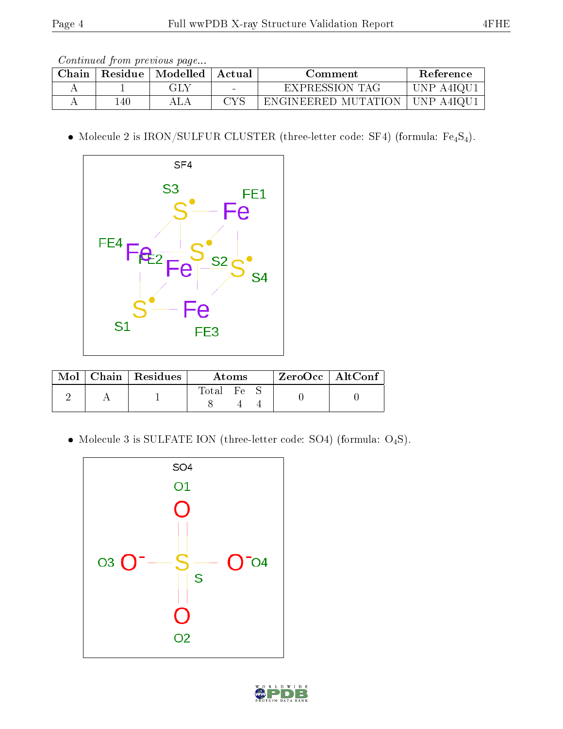Continued from previous page...

| Chain |     | Residue   Modelled   Actual |                          | Comment             | Reference |
|-------|-----|-----------------------------|--------------------------|---------------------|-----------|
|       |     | GLY                         | $\overline{\phantom{a}}$ | EXPRESSION TAG      | UNP A4IQU |
|       | 140 |                             | $\alpha$ ve              | ENGINEERED MUTATION | UNP A4IQU |

 $\bullet$  Molecule 2 is IRON/SULFUR CLUSTER (three-letter code: SF4) (formula:  $\rm Fe_4S_4).$ 



|  | $\text{Mol}$   Chain   Residues | Atoms                                                     |  |  | $ZeroOcc \   \ AltConf$ |
|--|---------------------------------|-----------------------------------------------------------|--|--|-------------------------|
|  |                                 | $\begin{array}{ccc} \text{Total} & \text{Fe} \end{array}$ |  |  |                         |

 $\bullet$  Molecule 3 is SULFATE ION (three-letter code: SO4) (formula:  $\mathrm{O}_4\mathrm{S}) .$ 



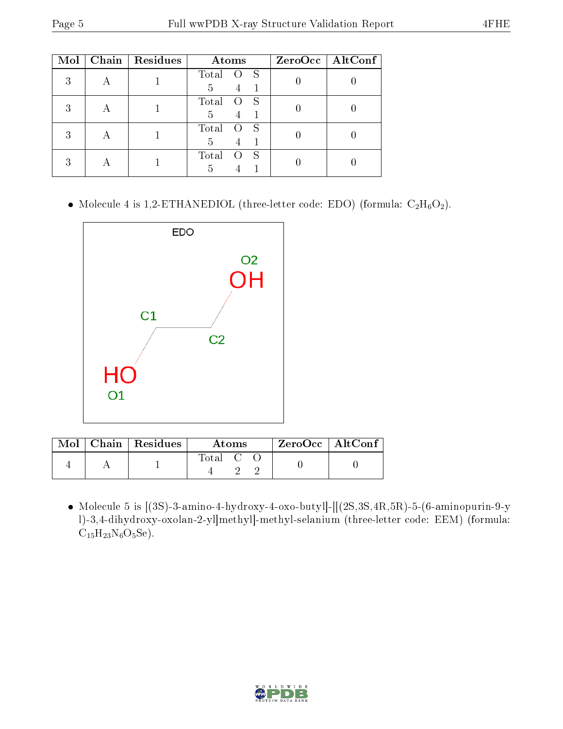| Mol | Chain | <b>Residues</b> | Atoms                               | $ZeroOcc$   AltConf |
|-----|-------|-----------------|-------------------------------------|---------------------|
| 3   |       |                 | Total<br>S<br>5<br>$\overline{4}$   |                     |
|     |       |                 | Total<br>S<br>5<br>4                |                     |
|     |       |                 | Total<br>- S<br>5<br>$\overline{4}$ |                     |
|     |       |                 | Total<br>-S<br>5                    |                     |

• Molecule 4 is 1,2-ETHANEDIOL (three-letter code: EDO) (formula:  $C_2H_6O_2$ ).



|  | $\text{Mol}$   Chain   Residues | Atoms.                                                  | $\rm ZeroOcc \mid AltConf$ |
|--|---------------------------------|---------------------------------------------------------|----------------------------|
|  |                                 | $\begin{bmatrix} \text{Total} & \text{C} \end{bmatrix}$ |                            |

• Molecule 5 is  $[(3S)$ -3-amino-4-hydroxy-4-oxo-butyl]- $[[(2S, 3S, 4R, 5R)$ -5- $(6$ -aminopurin-9-y l)-3,4-dihydroxy-oxolan-2-yl]methyl]-methyl-selanium (three-letter code: EEM) (formula:  $C_{15}H_{23}N_6O_5Se$ ).

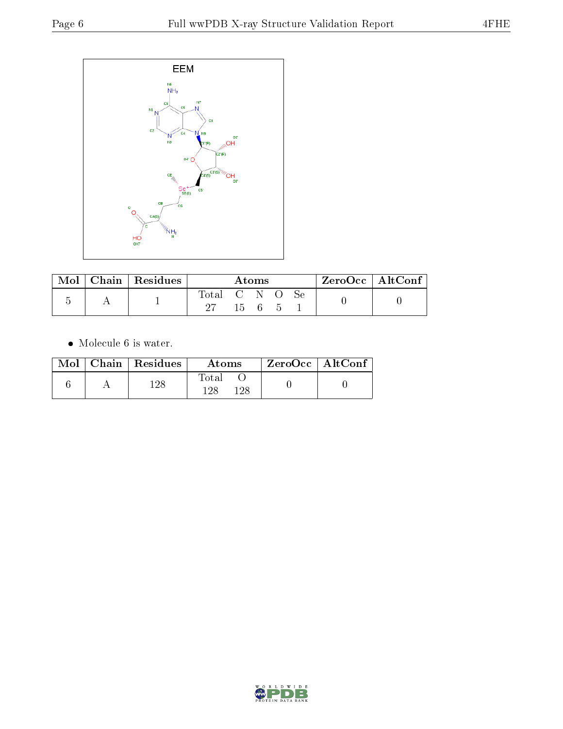

| Mol | Chain   Residues | Atoms       |              |  |  |  | $ZeroOcc \   \ AltConf \  $ |  |
|-----|------------------|-------------|--------------|--|--|--|-----------------------------|--|
|     |                  | Total C N O | $15 \quad 6$ |  |  |  |                             |  |

• Molecule 6 is water.

|  | $Mol$   Chain   Residues | Atoms                 | $ZeroOcc \   \$ AltConf |
|--|--------------------------|-----------------------|-------------------------|
|  | 128                      | Total<br>1 98<br>1 ດວ |                         |

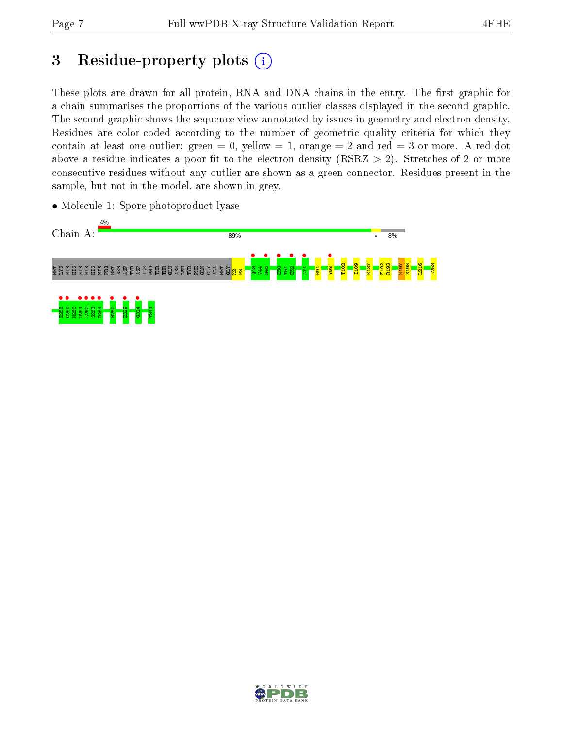# 3 Residue-property plots  $(i)$

These plots are drawn for all protein, RNA and DNA chains in the entry. The first graphic for a chain summarises the proportions of the various outlier classes displayed in the second graphic. The second graphic shows the sequence view annotated by issues in geometry and electron density. Residues are color-coded according to the number of geometric quality criteria for which they contain at least one outlier: green  $= 0$ , yellow  $= 1$ , orange  $= 2$  and red  $= 3$  or more. A red dot above a residue indicates a poor fit to the electron density (RSRZ  $> 2$ ). Stretches of 2 or more consecutive residues without any outlier are shown as a green connector. Residues present in the sample, but not in the model, are shown in grey.



• Molecule 1: Spore photoproduct lyase

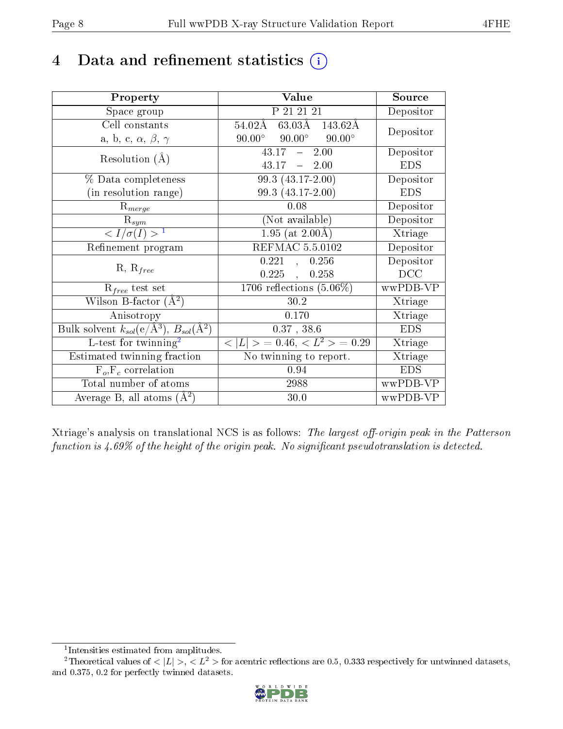## 4 Data and refinement statistics  $(i)$

| Property                                                         | Value                                             | Source                       |  |
|------------------------------------------------------------------|---------------------------------------------------|------------------------------|--|
| Space group                                                      | P 21 21 21                                        | Depositor                    |  |
| Cell constants                                                   | $63.03\AA - 143.62\AA$<br>$_{54.02\text{\AA}}$    | Depositor                    |  |
| a, b, c, $\alpha$ , $\beta$ , $\gamma$                           | $90.00^\circ$<br>$90.00^{\circ}$<br>$90.00^\circ$ |                              |  |
| Resolution $(A)$                                                 | 2.00<br>43.17<br>$\frac{1}{2}$                    | Depositor                    |  |
|                                                                  | 43.17<br>$-2.00$                                  | <b>EDS</b>                   |  |
| % Data completeness                                              | 99.3 (43.17-2.00)                                 | Depositor                    |  |
| (in resolution range)                                            | 99.3 (43.17-2.00)                                 | <b>EDS</b>                   |  |
| $R_{merge}$                                                      | 0.08                                              | Depositor                    |  |
| $\mathrm{R}_{sym}$                                               | (Not available)                                   | Depositor                    |  |
| $\sqrt{I/\sigma(I)} > 1$                                         | $1.95$ (at 2.00Å)                                 | Xtriage                      |  |
| Refinement program                                               | REFMAC 5.5.0102                                   | Depositor                    |  |
|                                                                  | 0.221<br>0.256<br>$\mathbb{R}$                    | Depositor                    |  |
| $R, R_{free}$                                                    | 0.225<br>0.258                                    | DCC                          |  |
| $R_{free}$ test set                                              | 1706 reflections $(5.06\%)$                       | wwPDB-VP                     |  |
| Wilson B-factor $(A^2)$                                          | 30.2                                              | Xtriage                      |  |
| Anisotropy                                                       | 0.170                                             | Xtriage                      |  |
| Bulk solvent $k_{sol}(\text{e}/\text{A}^3), B_{sol}(\text{A}^2)$ | $0.37$ , $38.6$                                   | <b>EDS</b>                   |  |
| $L$ -test for twinning <sup>2</sup>                              | $< L >$ = 0.46, $< L2 >$ = 0.29                   | Xtriage                      |  |
| Estimated twinning fraction                                      | No twinning to report.                            | $\overline{\text{X}}$ triage |  |
| $F_o, F_c$ correlation                                           | 0.94                                              | <b>EDS</b>                   |  |
| Total number of atoms                                            | 2988                                              | wwPDB-VP                     |  |
| Average B, all atoms $(A^2)$                                     | 30.0                                              | wwPDB-VP                     |  |

Xtriage's analysis on translational NCS is as follows: The largest off-origin peak in the Patterson function is  $4.69\%$  of the height of the origin peak. No significant pseudotranslation is detected.

<sup>&</sup>lt;sup>2</sup>Theoretical values of  $\langle |L| \rangle$ ,  $\langle L^2 \rangle$  for acentric reflections are 0.5, 0.333 respectively for untwinned datasets, and 0.375, 0.2 for perfectly twinned datasets.



<span id="page-7-1"></span><span id="page-7-0"></span><sup>1</sup> Intensities estimated from amplitudes.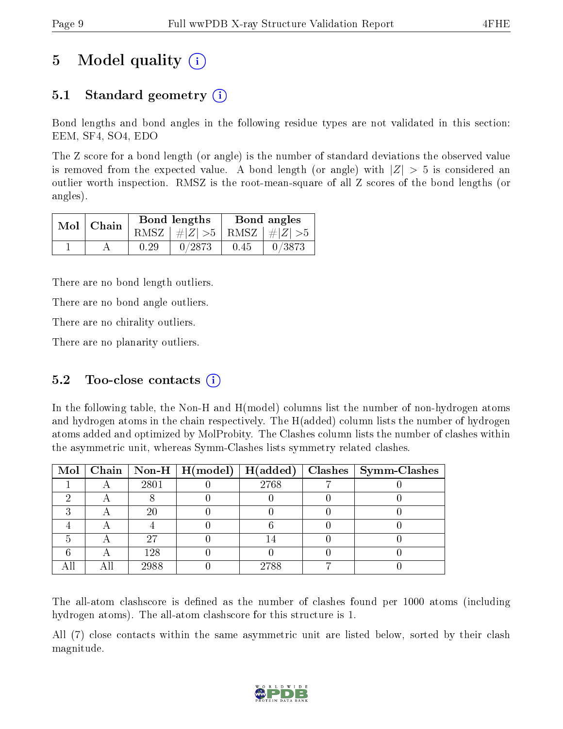# 5 Model quality  $(i)$

### 5.1 Standard geometry (i)

Bond lengths and bond angles in the following residue types are not validated in this section: EEM, SF4, SO4, EDO

The Z score for a bond length (or angle) is the number of standard deviations the observed value is removed from the expected value. A bond length (or angle) with  $|Z| > 5$  is considered an outlier worth inspection. RMSZ is the root-mean-square of all Z scores of the bond lengths (or angles).

| $Mol$   Chain |      | Bond lengths                    | Bond angles |        |  |
|---------------|------|---------------------------------|-------------|--------|--|
|               |      | RMSZ $ #Z  > 5$ RMSZ $ #Z  > 5$ |             |        |  |
|               | 0.29 | 0/2873                          | 0.45        | 0/3873 |  |

There are no bond length outliers.

There are no bond angle outliers.

There are no chirality outliers.

There are no planarity outliers.

#### 5.2 Too-close contacts  $(i)$

In the following table, the Non-H and H(model) columns list the number of non-hydrogen atoms and hydrogen atoms in the chain respectively. The H(added) column lists the number of hydrogen atoms added and optimized by MolProbity. The Clashes column lists the number of clashes within the asymmetric unit, whereas Symm-Clashes lists symmetry related clashes.

|  |      | Mol   Chain   Non-H   H(model)   H(added) |      | Clashes   Symm-Clashes |
|--|------|-------------------------------------------|------|------------------------|
|  | 2801 |                                           | 2768 |                        |
|  |      |                                           |      |                        |
|  | 20   |                                           |      |                        |
|  |      |                                           |      |                        |
|  | 27   |                                           |      |                        |
|  | 128  |                                           |      |                        |
|  | 2988 |                                           | 2788 |                        |

The all-atom clashscore is defined as the number of clashes found per 1000 atoms (including hydrogen atoms). The all-atom clashscore for this structure is 1.

All (7) close contacts within the same asymmetric unit are listed below, sorted by their clash magnitude.

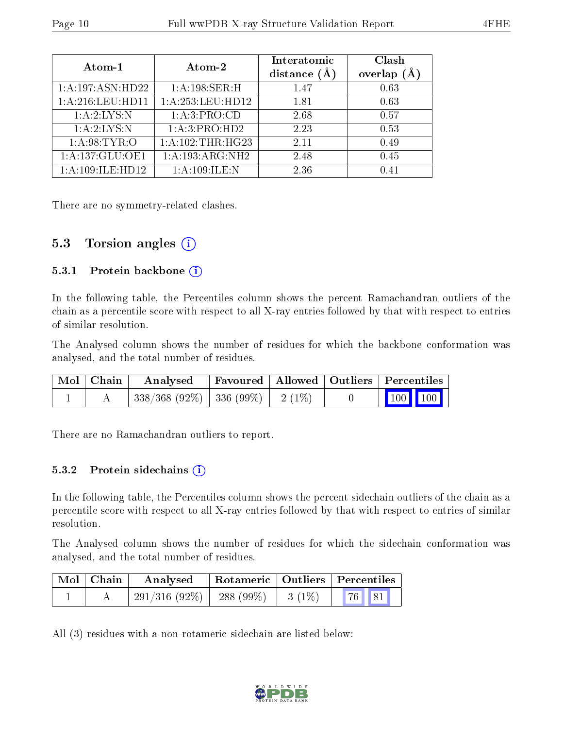| Atom-1            | Atom-2               | Interatomic<br>distance $(A)$ | Clash<br>Ă<br>overlap |
|-------------------|----------------------|-------------------------------|-----------------------|
| 1:A:197:ASN:HD22  | 1: A:198: SER:H      | 1.47                          | 0.63                  |
| 1: A:216:LEU:HD11 | 1:A:253:LEU:HD12     | 1.81                          | 0.63                  |
| 1: A:2: LYS: N    | 1: A:3: PRO:CD       | 2.68                          | 0.57                  |
| 1: A:2: LYS: N    | 1:A:3:PRO:HD2        | 2.23                          | 0.53                  |
| 1: A:98: TYR:O    | 1: A: 102: THR: HG23 | 2.11                          | 0.49                  |
| 1:A:137:GLU:OE1   | 1:A:193:ARG:NH2      | 2.48                          | 0.45                  |
| 1:A:109:ILE:HD12  | 1:A:109:ILE:N        | 2.36                          | 0.41                  |

There are no symmetry-related clashes.

#### 5.3 Torsion angles  $(i)$

#### 5.3.1 Protein backbone (i)

In the following table, the Percentiles column shows the percent Ramachandran outliers of the chain as a percentile score with respect to all X-ray entries followed by that with respect to entries of similar resolution.

The Analysed column shows the number of residues for which the backbone conformation was analysed, and the total number of residues.

| Mol   Chain | Analysed Favoured   Allowed   Outliers   Percentiles |  |                                                                          |  |
|-------------|------------------------------------------------------|--|--------------------------------------------------------------------------|--|
|             | $338/368$ (92\%)   336 (99\%)   2 (1\%)              |  | $\begin{array}{ c c c c }\n\hline\n\text{100} & \text{100}\n\end{array}$ |  |

There are no Ramachandran outliers to report.

#### 5.3.2 Protein sidechains  $(i)$

In the following table, the Percentiles column shows the percent sidechain outliers of the chain as a percentile score with respect to all X-ray entries followed by that with respect to entries of similar resolution.

The Analysed column shows the number of residues for which the sidechain conformation was analysed, and the total number of residues.

| Mol   Chain | $\bold{Analysed}$ | Rotameric   Outliers   Percentiles |  |  |  |
|-------------|-------------------|------------------------------------|--|--|--|
|             |                   |                                    |  |  |  |

All (3) residues with a non-rotameric sidechain are listed below:

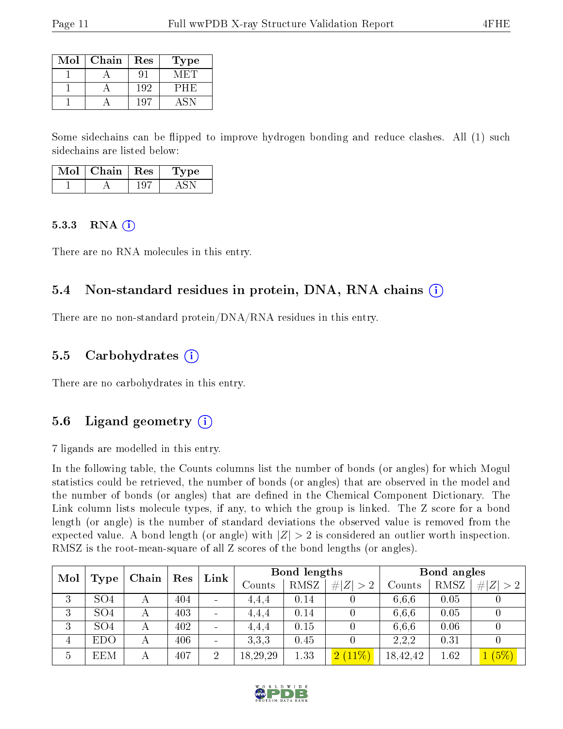| Mol | Chain | Res | Type' |
|-----|-------|-----|-------|
|     |       |     |       |
|     |       | 192 | РНЕ   |
|     |       | -97 |       |

Some sidechains can be flipped to improve hydrogen bonding and reduce clashes. All (1) such sidechains are listed below:

| וחו | Chain | $\mathbf{Res}$ . | pе |
|-----|-------|------------------|----|
|     |       |                  |    |

#### $5.3.3$  RNA  $(i)$

There are no RNA molecules in this entry.

#### 5.4 Non-standard residues in protein, DNA, RNA chains (i)

There are no non-standard protein/DNA/RNA residues in this entry.

#### 5.5 Carbohydrates (i)

There are no carbohydrates in this entry.

#### 5.6 Ligand geometry (i)

7 ligands are modelled in this entry.

In the following table, the Counts columns list the number of bonds (or angles) for which Mogul statistics could be retrieved, the number of bonds (or angles) that are observed in the model and the number of bonds (or angles) that are defined in the Chemical Component Dictionary. The Link column lists molecule types, if any, to which the group is linked. The Z score for a bond length (or angle) is the number of standard deviations the observed value is removed from the expected value. A bond length (or angle) with  $|Z| > 2$  is considered an outlier worth inspection. RMSZ is the root-mean-square of all Z scores of the bond lengths (or angles).

| Mol            |                 |       |     | Link           |          | Bond lengths |             |          | Bond angles |           |
|----------------|-----------------|-------|-----|----------------|----------|--------------|-------------|----------|-------------|-----------|
|                | Type            | Chain | Res |                | Counts   | <b>RMSZ</b>  | # $ Z  > 2$ | Counts   | <b>RMSZ</b> | Z  <br>>2 |
| 3              | SO <sub>4</sub> |       | 404 |                | 4.4.4    | 0.14         |             | 6,6,6    | 0.05        |           |
| 3              | SO <sub>4</sub> | А     | 403 |                | 4.4.4    | 0.14         |             | 6,6,6    | 0.05        |           |
| 3              | SO <sub>4</sub> |       | 402 |                | 4.4.4    | 0.15         |             | 6.6.6    | 0.06        |           |
| $\overline{4}$ | <b>EDO</b>      |       | 406 |                | 3.3.3    | 0.45         |             | 2.2.2    | 0.31        |           |
| 5              | EEM             | А     | 407 | $\overline{2}$ | 18,29,29 | 1.33         | $2(11\%)$   | 18,42,42 | 1.62        | (5%)      |

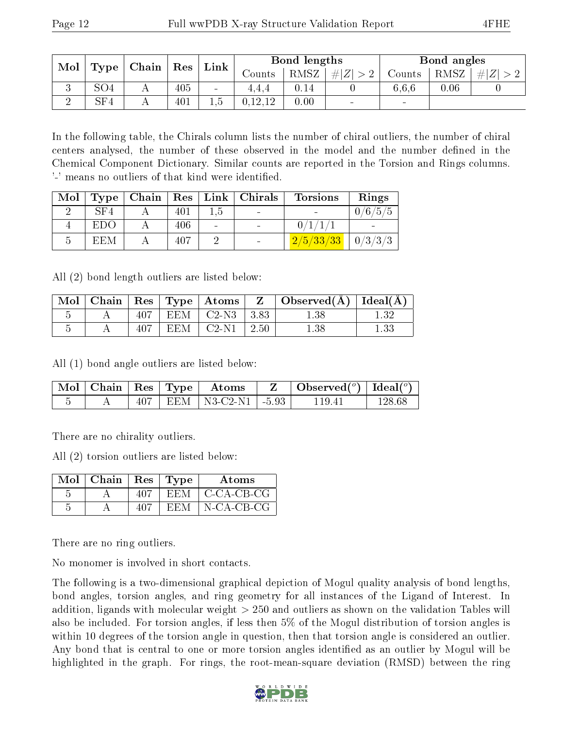| Mol | Type            | $\perp$ Chain $\perp$ | $\mid$ $\operatorname{Res}$<br>Link |     |         | Bond lengths |                |                | Bond angles |      |
|-----|-----------------|-----------------------|-------------------------------------|-----|---------|--------------|----------------|----------------|-------------|------|
|     |                 |                       |                                     |     | Counts  | RMSZ         | # $ Z  > 2$    | Counts         | RMSZ        | H  Z |
|     | SO <sub>4</sub> |                       | 405                                 |     | 4.4.4   | 0.14         |                | 6,6,6          | $0.06\,$    |      |
|     | SF4             |                       | 401                                 | G.I | 0.12.12 | 0.00         | $\blacksquare$ | $\blacksquare$ |             |      |

In the following table, the Chirals column lists the number of chiral outliers, the number of chiral centers analysed, the number of these observed in the model and the number defined in the Chemical Component Dictionary. Similar counts are reported in the Torsion and Rings columns. '-' means no outliers of that kind were identified.

| Mol | Type |     |     | $\mid$ Chain $\mid$ Res $\mid$ Link $\mid$ Chirals | <b>Torsions</b>     | Rings   |
|-----|------|-----|-----|----------------------------------------------------|---------------------|---------|
|     | SF4  | 401 | 1.5 |                                                    |                     | 0/6/5/5 |
|     | EDO  | 406 |     |                                                    |                     |         |
| h   | EEM  | 407 |     |                                                    | $\frac{2}{5}/33/33$ | 0/3/3/3 |

All (2) bond length outliers are listed below:

| Mol                   |     |     | $\vert$ Chain $\vert$ Res $\vert$ Type $\vert$ Atoms $\vert$ | $Z_{\rm{eff}}$ | $\vert$ Observed( $\AA$ ) $\vert$ Ideal( $\AA$ ) |  |
|-----------------------|-----|-----|--------------------------------------------------------------|----------------|--------------------------------------------------|--|
| $\tilde{\phantom{a}}$ | 407 |     | $EEM$   C2-N3   3.83                                         |                | 1.38                                             |  |
|                       | 407 | EEM | $\pm$ C2-N1 $\pm$                                            | $\sqrt{2.50}$  | $1.38\,$                                         |  |

All (1) bond angle outliers are listed below:

|  |  | $\parallel$ Mol $\parallel$ Chain $\parallel$ Res $\parallel$ Type $\parallel$ Atoms $\parallel$ | $\vert$ Observed $(^\circ)\vert$ Ideal $(^\circ)$ |        |
|--|--|--------------------------------------------------------------------------------------------------|---------------------------------------------------|--------|
|  |  | EEM   N3-C2-N1   -5.93 $'$                                                                       | 119.41                                            | 128.68 |

There are no chirality outliers.

All (2) torsion outliers are listed below:

| $Mol$   Chain   Res   Type |     |      | <b>Atoms</b>       |
|----------------------------|-----|------|--------------------|
|                            | 407 | EEM  | $\perp$ C-CA-CB-CG |
|                            | 407 | EEM. | $N$ -CA-CB-CG      |

There are no ring outliers.

No monomer is involved in short contacts.

The following is a two-dimensional graphical depiction of Mogul quality analysis of bond lengths, bond angles, torsion angles, and ring geometry for all instances of the Ligand of Interest. In addition, ligands with molecular weight > 250 and outliers as shown on the validation Tables will also be included. For torsion angles, if less then 5% of the Mogul distribution of torsion angles is within 10 degrees of the torsion angle in question, then that torsion angle is considered an outlier. Any bond that is central to one or more torsion angles identified as an outlier by Mogul will be highlighted in the graph. For rings, the root-mean-square deviation (RMSD) between the ring

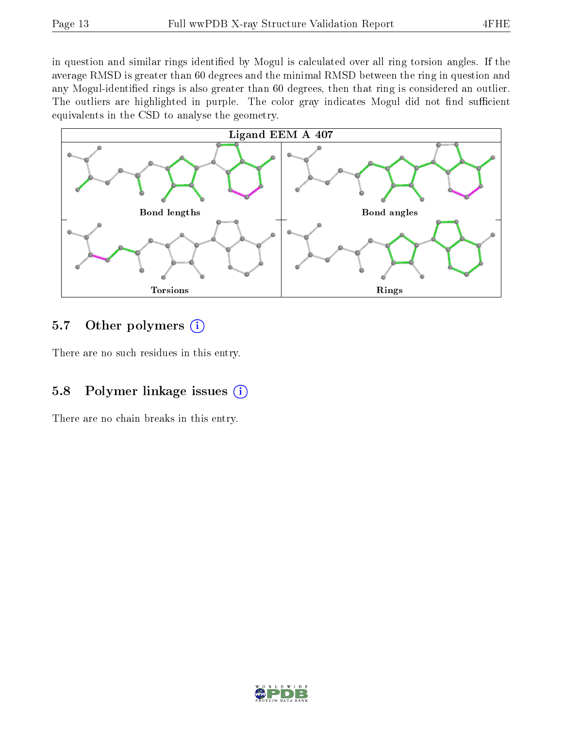in question and similar rings identified by Mogul is calculated over all ring torsion angles. If the average RMSD is greater than 60 degrees and the minimal RMSD between the ring in question and any Mogul-identified rings is also greater than 60 degrees, then that ring is considered an outlier. The outliers are highlighted in purple. The color gray indicates Mogul did not find sufficient equivalents in the CSD to analyse the geometry.



#### 5.7 [O](https://www.wwpdb.org/validation/2017/XrayValidationReportHelp#nonstandard_residues_and_ligands)ther polymers  $(i)$

There are no such residues in this entry.

#### 5.8 Polymer linkage issues  $(i)$

There are no chain breaks in this entry.

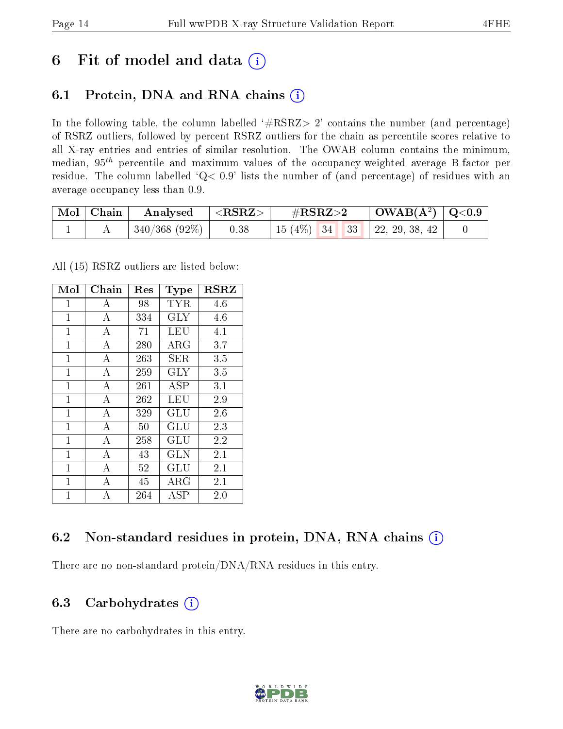## 6 Fit of model and data  $(i)$

### 6.1 Protein, DNA and RNA chains  $(i)$

In the following table, the column labelled  $#RSRZ> 2'$  contains the number (and percentage) of RSRZ outliers, followed by percent RSRZ outliers for the chain as percentile scores relative to all X-ray entries and entries of similar resolution. The OWAB column contains the minimum, median,  $95<sup>th</sup>$  percentile and maximum values of the occupancy-weighted average B-factor per residue. The column labelled ' $Q< 0.9$ ' lists the number of (and percentage) of residues with an average occupancy less than 0.9.

| $\mid$ Mol $\mid$ Chain | Analysed      | $\#\text{RSRZ}\text{>2}$<br>$^{\mid} <$ RSRZ $>$ |                                     | $\mid$ OWAB(Å <sup>2</sup> ) $\mid$ Q<0.9 |  |
|-------------------------|---------------|--------------------------------------------------|-------------------------------------|-------------------------------------------|--|
|                         | 340/368 (92%) | 0.38                                             | 15 (4\%)   34   33   22, 29, 38, 42 |                                           |  |

All (15) RSRZ outliers are listed below:

| Mol            | Chain            | $\operatorname{Res}% \left( \mathcal{N}\right) \equiv\operatorname{Res}(\mathcal{N}_{0},\mathcal{N}_{0})$ | <b>Type</b>          | <b>RSRZ</b> |
|----------------|------------------|-----------------------------------------------------------------------------------------------------------|----------------------|-------------|
| $\mathbf{1}$   | А                | 98                                                                                                        | TYR                  | 4.6         |
| $\overline{1}$ | $\boldsymbol{A}$ | 334                                                                                                       | <b>GLY</b>           | 4.6         |
| 1              | А                | 71                                                                                                        | LEU                  | 4.1         |
| $\mathbf{1}$   | А                | 280                                                                                                       | ${\rm ARG}$          | 3.7         |
| $\overline{1}$ | $\overline{A}$   | 263                                                                                                       | SER                  | 3.5         |
| $\mathbf{1}$   | А                | 259                                                                                                       | GLY                  | 3.5         |
| $\mathbf{1}$   | А                | 261                                                                                                       | ASP                  | 3.1         |
| $\mathbf{1}$   | A                | 262                                                                                                       | LEU                  | 2.9         |
| $\overline{1}$ | $\overline{A}$   | 329                                                                                                       | GLU                  | 2.6         |
| $\overline{1}$ | А                | 50                                                                                                        | GLU                  | 2.3         |
| $\mathbf{1}$   | A                | 258                                                                                                       | GLU                  | 2.2         |
| $\overline{1}$ | $\bf{A}$         | 43                                                                                                        | <b>GLN</b>           | 2.1         |
| $\mathbf{1}$   | А                | 52                                                                                                        | $\operatorname{GLU}$ | 2.1         |
| $\mathbf{1}$   | А                | 45                                                                                                        | ${\rm ARG}$          | 2.1         |
| $\overline{1}$ | A                | 264                                                                                                       | ASP                  | 2.0         |

### 6.2 Non-standard residues in protein, DNA, RNA chains (i)

There are no non-standard protein/DNA/RNA residues in this entry.

#### 6.3 Carbohydrates  $(i)$

There are no carbohydrates in this entry.

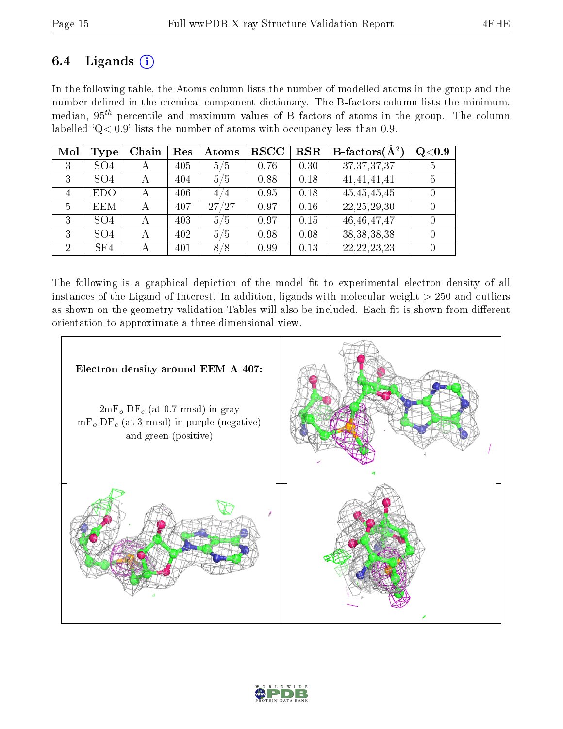### 6.4 Ligands  $(i)$

In the following table, the Atoms column lists the number of modelled atoms in the group and the number defined in the chemical component dictionary. The B-factors column lists the minimum, median,  $95<sup>th</sup>$  percentile and maximum values of B factors of atoms in the group. The column labelled ' $Q< 0.9$ ' lists the number of atoms with occupancy less than 0.9.

| Mol            | <b>Type</b>     | Chain | Res | Atoms | $_{\rm RSCC}$ | <b>RSR</b> | <b>B</b> -factors $\overline{A^2}$ | Q <sub>0.9</sub> |
|----------------|-----------------|-------|-----|-------|---------------|------------|------------------------------------|------------------|
| 3              | SO <sub>4</sub> | А     | 405 | 5/5   | 0.76          | 0.30       | 37, 37, 37, 37                     | 5                |
| 3              | SO <sub>4</sub> | А     | 404 | 5/5   | 0.88          | 0.18       | 41,41,41,41                        |                  |
| 4              | <b>EDO</b>      |       | 406 | 4/4   | 0.95          | 0.18       | 45,45,45,45                        |                  |
| 5              | <b>EEM</b>      | А     | 407 | 27/27 | 0.97          | 0.16       | 22, 25, 29, 30                     |                  |
| 3              | SO <sub>4</sub> | А     | 403 | 5/5   | 0.97          | 0.15       | 46, 46, 47, 47                     |                  |
| 3              | SO <sub>4</sub> | А     | 402 | 5/5   | 0.98          | 0.08       | 38, 38, 38, 38                     |                  |
| $\overline{2}$ | SF4             |       | 401 | 8/8   | 0.99          | 0.13       | 22, 22, 23, 23                     |                  |

The following is a graphical depiction of the model fit to experimental electron density of all instances of the Ligand of Interest. In addition, ligands with molecular weight  $> 250$  and outliers as shown on the geometry validation Tables will also be included. Each fit is shown from different orientation to approximate a three-dimensional view.